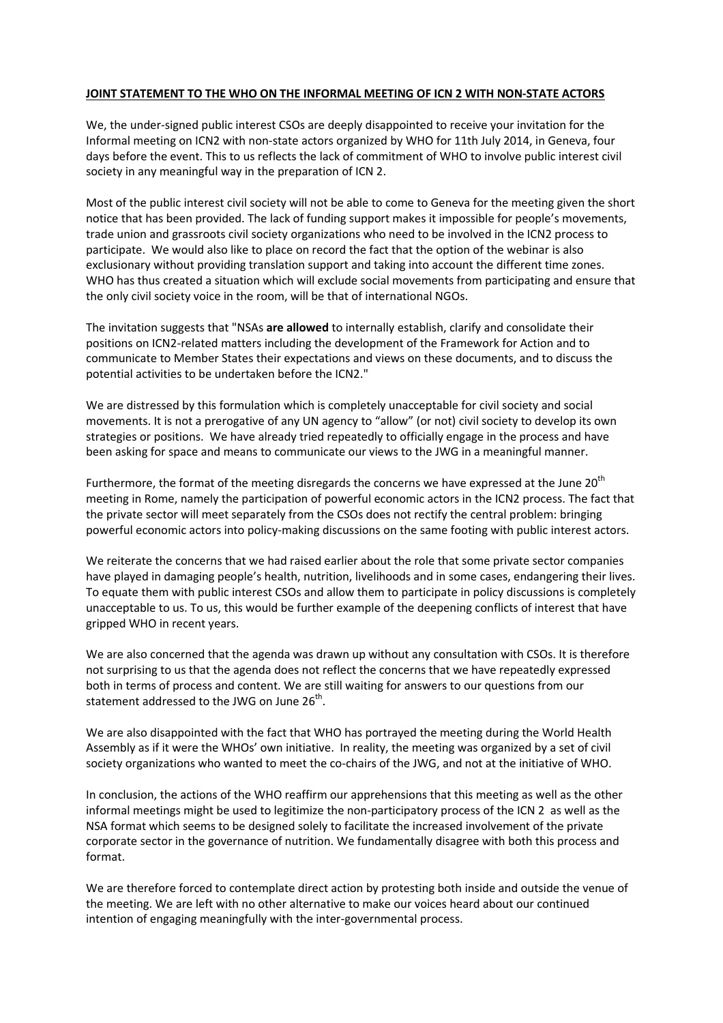## **JOINT STATEMENT TO THE WHO ON THE INFORMAL MEETING OF ICN 2 WITH NON-STATE ACTORS**

We, the under-signed public interest CSOs are deeply disappointed to receive your invitation for the Informal meeting on ICN2 with non-state actors organized by WHO for 11th July 2014, in Geneva, four days before the event. This to us reflects the lack of commitment of WHO to involve public interest civil society in any meaningful way in the preparation of ICN 2.

Most of the public interest civil society will not be able to come to Geneva for the meeting given the short notice that has been provided. The lack of funding support makes it impossible for people's movements, trade union and grassroots civil society organizations who need to be involved in the ICN2 process to participate. We would also like to place on record the fact that the option of the webinar is also exclusionary without providing translation support and taking into account the different time zones. WHO has thus created a situation which will exclude social movements from participating and ensure that the only civil society voice in the room, will be that of international NGOs.

The invitation suggests that "NSAs **are allowed** to internally establish, clarify and consolidate their positions on ICN2-related matters including the development of the Framework for Action and to communicate to Member States their expectations and views on these documents, and to discuss the potential activities to be undertaken before the ICN2."

We are distressed by this formulation which is completely unacceptable for civil society and social movements. It is not a prerogative of any UN agency to "allow" (or not) civil society to develop its own strategies or positions. We have already tried repeatedly to officially engage in the process and have been asking for space and means to communicate our views to the JWG in a meaningful manner.

Furthermore, the format of the meeting disregards the concerns we have expressed at the June 20<sup>th</sup> meeting in Rome, namely the participation of powerful economic actors in the ICN2 process. The fact that the private sector will meet separately from the CSOs does not rectify the central problem: bringing powerful economic actors into policy-making discussions on the same footing with public interest actors.

We reiterate the concerns that we had raised earlier about the role that some private sector companies have played in damaging people's health, nutrition, livelihoods and in some cases, endangering their lives. To equate them with public interest CSOs and allow them to participate in policy discussions is completely unacceptable to us. To us, this would be further example of the deepening conflicts of interest that have gripped WHO in recent years.

We are also concerned that the agenda was drawn up without any consultation with CSOs. It is therefore not surprising to us that the agenda does not reflect the concerns that we have repeatedly expressed both in terms of process and content. We are still waiting for answers to our questions from our statement addressed to the JWG on June 26<sup>th</sup>.

We are also disappointed with the fact that WHO has portrayed the meeting during the World Health Assembly as if it were the WHOs' own initiative. In reality, the meeting was organized by a set of civil society organizations who wanted to meet the co-chairs of the JWG, and not at the initiative of WHO.

In conclusion, the actions of the WHO reaffirm our apprehensions that this meeting as well as the other informal meetings might be used to legitimize the non-participatory process of the ICN 2 as well as the NSA format which seems to be designed solely to facilitate the increased involvement of the private corporate sector in the governance of nutrition. We fundamentally disagree with both this process and format.

We are therefore forced to contemplate direct action by protesting both inside and outside the venue of the meeting. We are left with no other alternative to make our voices heard about our continued intention of engaging meaningfully with the inter-governmental process.